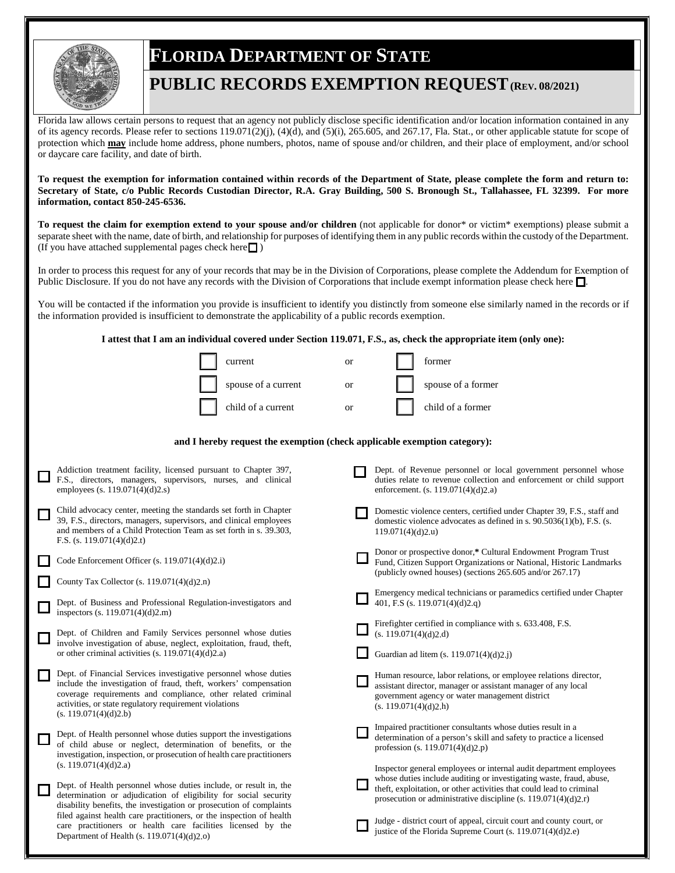

## **FLORIDA DEPARTMENT OF STATE**

## **PUBLIC RECORDS EXEMPTION REQUEST(REV. 08/2021)**

Florida law allows certain persons to request that an agency not publicly disclose specific identification and/or location information contained in any of its agency records. Please refer to sections  $119.071(2)(i)$ ,  $(4)(d)$ , and  $(5)(i)$ ,  $265.605$ , and  $267.17$ , Fla. Stat., or other applicable statute for scope of protection which **may** include home address, phone numbers, photos, name of spouse and/or children, and their place of employment, and/or school or daycare care facility, and date of birth.

**To request the exemption for information contained within records of the Department of State, please complete the form and return to: Secretary of State, c/o Public Records Custodian Director, R.A. Gray Building, 500 S. Bronough St., Tallahassee, FL 32399. For more information, contact 850-245-6536.** 

**To request the claim for exemption extend to your spouse and/or children** (not applicable for donor\* or victim\* exemptions) please submit a separate sheet with the name, date of birth, and relationship for purposes of identifying them in any public records within the custody of the Department. (If you have attached supplemental pages check here  $\Box$ )

In order to process this request for any of your records that may be in the Division of Corporations, please complete the Addendum for Exemption of Public Disclosure. If you do not have any records with the Division of Corporations that include exempt information please check here  $\Box$ .

You will be contacted if the information you provide is insufficient to identify you distinctly from someone else similarly named in the records or if the information provided is insufficient to demonstrate the applicability of a public records exemption.

**I attest that I am an individual covered under Section 119.071, F.S., as, check the appropriate item (only one):**

| current             | or | former             |
|---------------------|----|--------------------|
| spouse of a current | or | spouse of a former |
| child of a current  |    | child of a former  |

## **and I hereby request the exemption (check applicable exemption category):**

| Addiction treatment facility, licensed pursuant to Chapter 397,<br>F.S., directors, managers, supervisors, nurses, and clinical<br>employees (s. 119.071(4)(d)2.s)                                                                                                                      | Dept. of Revenue personnel or local government personnel whose<br>duties relate to revenue collection and enforcement or child support<br>enforcement. (s. 119.071(4)(d)2,a)                                                                                                        |
|-----------------------------------------------------------------------------------------------------------------------------------------------------------------------------------------------------------------------------------------------------------------------------------------|-------------------------------------------------------------------------------------------------------------------------------------------------------------------------------------------------------------------------------------------------------------------------------------|
| Child advocacy center, meeting the standards set forth in Chapter<br>39, F.S., directors, managers, supervisors, and clinical employees<br>and members of a Child Protection Team as set forth in s. 39.303,<br>F.S. (s. 119.071(4)(d)2.t)                                              | Domestic violence centers, certified under Chapter 39, F.S., staff and<br>domestic violence advocates as defined in s. $90.5036(1)(b)$ , F.S. (s.<br>119.071(4)(d)2.u)                                                                                                              |
| Code Enforcement Officer (s. $119.071(4)(d)2.i$ )<br>County Tax Collector (s. 119.071(4)(d)2,n)                                                                                                                                                                                         | Donor or prospective donor,* Cultural Endowment Program Trust<br>Fund, Citizen Support Organizations or National, Historic Landmarks<br>(publicly owned houses) (sections 265.605 and/or 267.17)                                                                                    |
| Dept. of Business and Professional Regulation-investigators and<br>inspectors (s. 119.071(4)(d)2.m)                                                                                                                                                                                     | Emergency medical technicians or paramedics certified under Chapter<br>401, F.S (s. 119.071(4)(d)2.q)                                                                                                                                                                               |
| Dept. of Children and Family Services personnel whose duties<br>involve investigation of abuse, neglect, exploitation, fraud, theft,<br>or other criminal activities $(s. 119.071(4)(d)2.a)$                                                                                            | Firefighter certified in compliance with s. 633.408, F.S.<br>(s. 119.071(4)(d)2.d)<br>Guardian ad litem (s. 119.071(4)(d)2.j)                                                                                                                                                       |
| Dept. of Financial Services investigative personnel whose duties<br>include the investigation of fraud, theft, workers' compensation<br>coverage requirements and compliance, other related criminal<br>activities, or state regulatory requirement violations<br>(s. 119.071(4)(d)2.b) | Human resource, labor relations, or employee relations director,<br>assistant director, manager or assistant manager of any local<br>government agency or water management district<br>(s. 119.071(4)(d)2.h)                                                                        |
| Dept. of Health personnel whose duties support the investigations<br>of child abuse or neglect, determination of benefits, or the<br>investigation, inspection, or prosecution of health care practitioners<br>(s. 119.071(4)(d)2.a)                                                    | Impaired practitioner consultants whose duties result in a<br>determination of a person's skill and safety to practice a licensed<br>profession (s. 119.071(4)(d)2.p)                                                                                                               |
| Dept. of Health personnel whose duties include, or result in, the<br>determination or adjudication of eligibility for social security<br>disability benefits, the investigation or prosecution of complaints                                                                            | Inspector general employees or internal audit department employees<br>whose duties include auditing or investigating waste, fraud, abuse,<br>theft, exploitation, or other activities that could lead to criminal<br>prosecution or administrative discipline (s. 119.071(4)(d)2.r) |
| filed against health care practitioners, or the inspection of health<br>care practitioners or health care facilities licensed by the<br>Department of Health (s. $119.071(4)(d)2.0$ )                                                                                                   | Judge - district court of appeal, circuit court and county court, or<br>justice of the Florida Supreme Court (s. 119.071(4)(d)2.e)                                                                                                                                                  |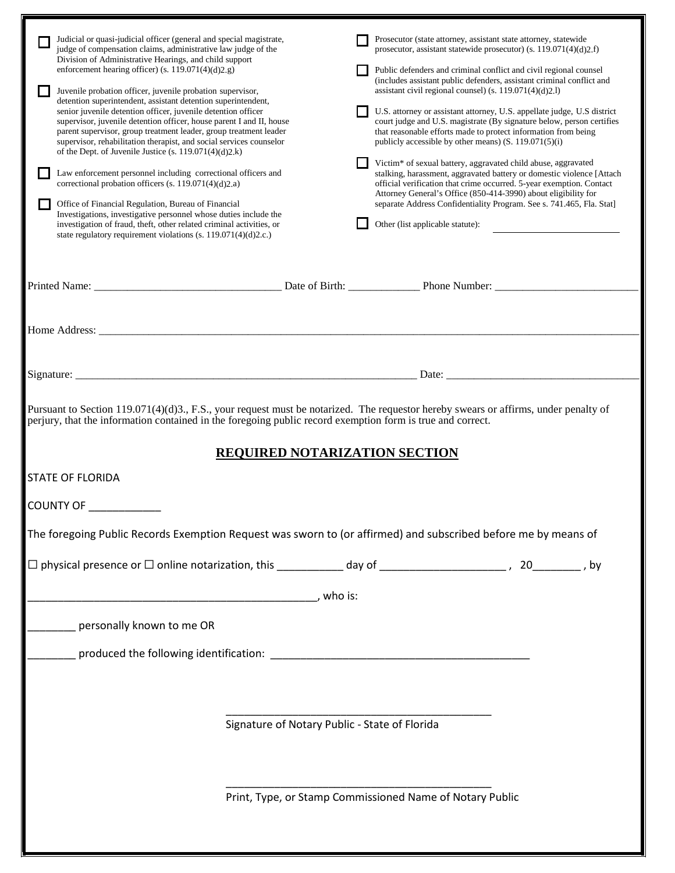|                                                                                                                                                                                                                                                                                                                                                                                                                                                            | Judicial or quasi-judicial officer (general and special magistrate,<br>judge of compensation claims, administrative law judge of the<br>Division of Administrative Hearings, and child support<br>enforcement hearing officer) (s. 119.071(4)(d)2.g)<br>Juvenile probation officer, juvenile probation supervisor,<br>detention superintendent, assistant detention superintendent,<br>senior juvenile detention officer, juvenile detention officer<br>supervisor, juvenile detention officer, house parent I and II, house<br>parent supervisor, group treatment leader, group treatment leader<br>supervisor, rehabilitation therapist, and social services counselor<br>of the Dept. of Juvenile Justice (s. 119.071(4)(d)2.k)<br>Law enforcement personnel including correctional officers and<br>correctional probation officers (s. 119.071(4)(d)2.a)<br>Office of Financial Regulation, Bureau of Financial<br>Investigations, investigative personnel whose duties include the<br>investigation of fraud, theft, other related criminal activities, or<br>state regulatory requirement violations (s. 119.071(4)(d)2.c.) |  | Prosecutor (state attorney, assistant state attorney, statewide<br>prosecutor, assistant statewide prosecutor) (s. 119.071(4)(d)2.f)<br>Public defenders and criminal conflict and civil regional counsel<br>(includes assistant public defenders, assistant criminal conflict and<br>assistant civil regional counsel) (s. 119.071(4)(d)2.l)<br>U.S. attorney or assistant attorney, U.S. appellate judge, U.S district<br>court judge and U.S. magistrate (By signature below, person certifies<br>that reasonable efforts made to protect information from being<br>publicly accessible by other means) $(S. 119.071(5)(i)$<br>Victim* of sexual battery, aggravated child abuse, aggravated<br>stalking, harassment, aggravated battery or domestic violence [Attach<br>official verification that crime occurred. 5-year exemption. Contact<br>Attorney General's Office (850-414-3990) about eligibility for<br>separate Address Confidentiality Program. See s. 741.465, Fla. Stat]<br>Other (list applicable statute): |  |  |  |
|------------------------------------------------------------------------------------------------------------------------------------------------------------------------------------------------------------------------------------------------------------------------------------------------------------------------------------------------------------------------------------------------------------------------------------------------------------|-----------------------------------------------------------------------------------------------------------------------------------------------------------------------------------------------------------------------------------------------------------------------------------------------------------------------------------------------------------------------------------------------------------------------------------------------------------------------------------------------------------------------------------------------------------------------------------------------------------------------------------------------------------------------------------------------------------------------------------------------------------------------------------------------------------------------------------------------------------------------------------------------------------------------------------------------------------------------------------------------------------------------------------------------------------------------------------------------------------------------------------|--|--------------------------------------------------------------------------------------------------------------------------------------------------------------------------------------------------------------------------------------------------------------------------------------------------------------------------------------------------------------------------------------------------------------------------------------------------------------------------------------------------------------------------------------------------------------------------------------------------------------------------------------------------------------------------------------------------------------------------------------------------------------------------------------------------------------------------------------------------------------------------------------------------------------------------------------------------------------------------------------------------------------------------------|--|--|--|
|                                                                                                                                                                                                                                                                                                                                                                                                                                                            | Printed Name: Date of Birth: Phone Number:                                                                                                                                                                                                                                                                                                                                                                                                                                                                                                                                                                                                                                                                                                                                                                                                                                                                                                                                                                                                                                                                                        |  |                                                                                                                                                                                                                                                                                                                                                                                                                                                                                                                                                                                                                                                                                                                                                                                                                                                                                                                                                                                                                                |  |  |  |
|                                                                                                                                                                                                                                                                                                                                                                                                                                                            |                                                                                                                                                                                                                                                                                                                                                                                                                                                                                                                                                                                                                                                                                                                                                                                                                                                                                                                                                                                                                                                                                                                                   |  |                                                                                                                                                                                                                                                                                                                                                                                                                                                                                                                                                                                                                                                                                                                                                                                                                                                                                                                                                                                                                                |  |  |  |
|                                                                                                                                                                                                                                                                                                                                                                                                                                                            |                                                                                                                                                                                                                                                                                                                                                                                                                                                                                                                                                                                                                                                                                                                                                                                                                                                                                                                                                                                                                                                                                                                                   |  | Date:                                                                                                                                                                                                                                                                                                                                                                                                                                                                                                                                                                                                                                                                                                                                                                                                                                                                                                                                                                                                                          |  |  |  |
| Pursuant to Section 119.071(4)(d)3., F.S., your request must be notarized. The requestor hereby swears or affirms, under penalty of<br>perjury, that the information contained in the foregoing public record exemption form is true and correct.<br><b>REQUIRED NOTARIZATION SECTION</b><br><b>STATE OF FLORIDA</b><br><b>COUNTY OF</b><br>The foregoing Public Records Exemption Request was sworn to (or affirmed) and subscribed before me by means of |                                                                                                                                                                                                                                                                                                                                                                                                                                                                                                                                                                                                                                                                                                                                                                                                                                                                                                                                                                                                                                                                                                                                   |  |                                                                                                                                                                                                                                                                                                                                                                                                                                                                                                                                                                                                                                                                                                                                                                                                                                                                                                                                                                                                                                |  |  |  |
|                                                                                                                                                                                                                                                                                                                                                                                                                                                            |                                                                                                                                                                                                                                                                                                                                                                                                                                                                                                                                                                                                                                                                                                                                                                                                                                                                                                                                                                                                                                                                                                                                   |  |                                                                                                                                                                                                                                                                                                                                                                                                                                                                                                                                                                                                                                                                                                                                                                                                                                                                                                                                                                                                                                |  |  |  |
|                                                                                                                                                                                                                                                                                                                                                                                                                                                            |                                                                                                                                                                                                                                                                                                                                                                                                                                                                                                                                                                                                                                                                                                                                                                                                                                                                                                                                                                                                                                                                                                                                   |  |                                                                                                                                                                                                                                                                                                                                                                                                                                                                                                                                                                                                                                                                                                                                                                                                                                                                                                                                                                                                                                |  |  |  |
|                                                                                                                                                                                                                                                                                                                                                                                                                                                            | personally known to me OR                                                                                                                                                                                                                                                                                                                                                                                                                                                                                                                                                                                                                                                                                                                                                                                                                                                                                                                                                                                                                                                                                                         |  |                                                                                                                                                                                                                                                                                                                                                                                                                                                                                                                                                                                                                                                                                                                                                                                                                                                                                                                                                                                                                                |  |  |  |
|                                                                                                                                                                                                                                                                                                                                                                                                                                                            |                                                                                                                                                                                                                                                                                                                                                                                                                                                                                                                                                                                                                                                                                                                                                                                                                                                                                                                                                                                                                                                                                                                                   |  |                                                                                                                                                                                                                                                                                                                                                                                                                                                                                                                                                                                                                                                                                                                                                                                                                                                                                                                                                                                                                                |  |  |  |
| Signature of Notary Public - State of Florida                                                                                                                                                                                                                                                                                                                                                                                                              |                                                                                                                                                                                                                                                                                                                                                                                                                                                                                                                                                                                                                                                                                                                                                                                                                                                                                                                                                                                                                                                                                                                                   |  |                                                                                                                                                                                                                                                                                                                                                                                                                                                                                                                                                                                                                                                                                                                                                                                                                                                                                                                                                                                                                                |  |  |  |
|                                                                                                                                                                                                                                                                                                                                                                                                                                                            |                                                                                                                                                                                                                                                                                                                                                                                                                                                                                                                                                                                                                                                                                                                                                                                                                                                                                                                                                                                                                                                                                                                                   |  | Print, Type, or Stamp Commissioned Name of Notary Public                                                                                                                                                                                                                                                                                                                                                                                                                                                                                                                                                                                                                                                                                                                                                                                                                                                                                                                                                                       |  |  |  |